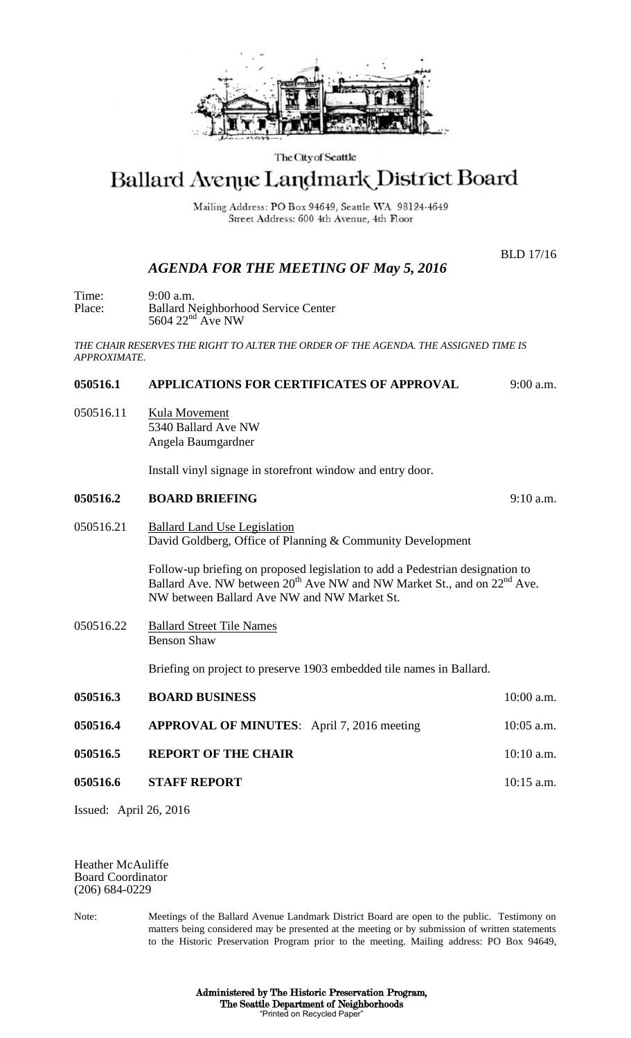

#### The City of Seattle

# Ballard Avenue Landmark District Board

Mailing Address: PO Box 94649, Seattle WA 98124-4649 Street Address: 600 4th Avenue, 4th Floor

BLD 17/16

# *AGENDA FOR THE MEETING OF May 5, 2016*

Time: 9:00 a.m. Place: Ballard Neighborhood Service Center  $5604$   $22<sup>nd</sup>$  Ave NW

*THE CHAIR RESERVES THE RIGHT TO ALTER THE ORDER OF THE AGENDA. THE ASSIGNED TIME IS APPROXIMATE.*

### **050516.1 APPLICATIONS FOR CERTIFICATES OF APPROVAL** 9:00 a.m.

050516.11 Kula Movement 5340 Ballard Ave NW Angela Baumgardner

Install vinyl signage in storefront window and entry door.

#### **050516.2 BOARD BRIEFING** 9:10 a.m.

050516.21 Ballard Land Use Legislation David Goldberg, Office of Planning & Community Development

> Follow-up briefing on proposed legislation to add a Pedestrian designation to Ballard Ave. NW between  $20^{th}$  Ave NW and NW Market St., and on  $22^{nd}$  Ave. NW between Ballard Ave NW and NW Market St.

050516.22 Ballard Street Tile Names Benson Shaw

Briefing on project to preserve 1903 embedded tile names in Ballard.

| 050516.3 | <b>BOARD BUSINESS</b>                             | $10:00$ a.m. |
|----------|---------------------------------------------------|--------------|
| 050516.4 | <b>APPROVAL OF MINUTES:</b> April 7, 2016 meeting | $10:05$ a.m. |
| 050516.5 | <b>REPORT OF THE CHAIR</b>                        | $10:10$ a.m. |
| 050516.6 | <b>STAFF REPORT</b>                               | $10:15$ a.m. |

Issued: April 26, 2016

Heather McAuliffe Board Coordinator (206) 684-0229

Note: Meetings of the Ballard Avenue Landmark District Board are open to the public. Testimony on matters being considered may be presented at the meeting or by submission of written statements to the Historic Preservation Program prior to the meeting. Mailing address: PO Box 94649,